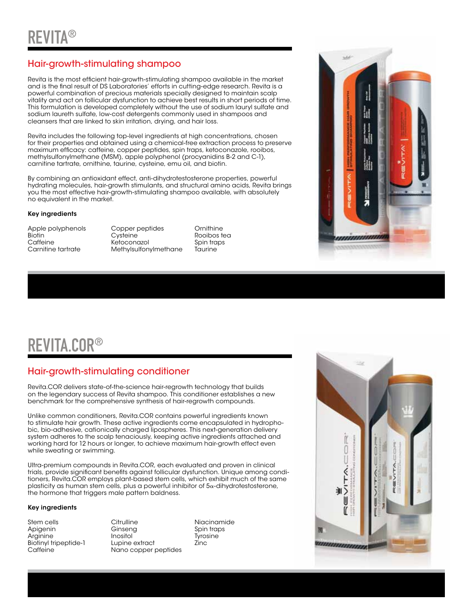### Hair-growth-stimulating shampoo

Revita is the most efficient hair-growth-stimulating shampoo available in the market and is the final result of DS Laboratories' efforts in cutting-edge research. Revita is a powerful combination of precious materials specially designed to maintain scalp vitality and act on follicular dysfunction to achieve best results in short periods of time. This formulation is developed completely without the use of sodium lauryl sulfate and sodium laureth sulfate, low-cost detergents commonly used in shampoos and cleansers that are linked to skin irritation, drying, and hair loss.

Revita includes the following top-level ingredients at high concentrations, chosen for their properties and obtained using a chemical-free extraction process to preserve maximum efficacy: caffeine, copper peptides, spin traps, ketoconazole, rooibos, methylsulfonylmethane (MSM), apple polyphenol (procyanidins B-2 and C-1), carnitine tartrate, ornithine, taurine, cysteine, emu oil, and biotin.

By combining an antioxidant effect, anti-dihydrotestosterone properties, powerful hydrating molecules, hair-growth stimulants, and structural amino acids, Revita brings you the most effective hair-growth-stimulating shampoo available, with absolutely no equivalent in the market.

#### Key ingredients

Apple polyphenols Copper peptides Ornithine Biotin Cysteine Coolbos tea Caffeine Ketoconazol Spin traps Methylsulfonylmethane Taurine



# REVITA.COR®

### Hair-growth-stimulating conditioner

Revita.COR delivers state-of-the-science hair-regrowth technology that builds on the legendary success of Revita shampoo. This conditioner establishes a new benchmark for the comprehensive synthesis of hair-regrowth compounds.

Unlike common conditioners, Revita.COR contains powerful ingredients known to stimulate hair growth. These active ingredients come encapsulated in hydrophobic, bio-adhesive, cationically charged lipospheres. This next-generation delivery system adheres to the scalp tenaciously, keeping active ingredients attached and working hard for 12 hours or longer, to achieve maximum hair-growth effect even while sweating or swimming.

Ultra-premium compounds in Revita.COR, each evaluated and proven in clinical trials, provide significant benefits against follicular dysfunction. Unique among conditioners, Revita.COR employs plant-based stem cells, which exhibit much of the same plasticity as human stem cells, plus a powerful inhibitor of 5α-dihydrotestosterone, the hormone that triggers male pattern baldness.

#### Key ingredients

Arginine Inositol<br>Biotinyl tripeptide-1 Lupine extract

Stem cells Citrulline Niacinamide Apin Spin traps<br>
Apin traps<br>
Tyrosine Biotinyl tripeptide-1 Lupine extract Zinc<br>Caffeine Caffeine Nano copper peptides Nano copper peptides